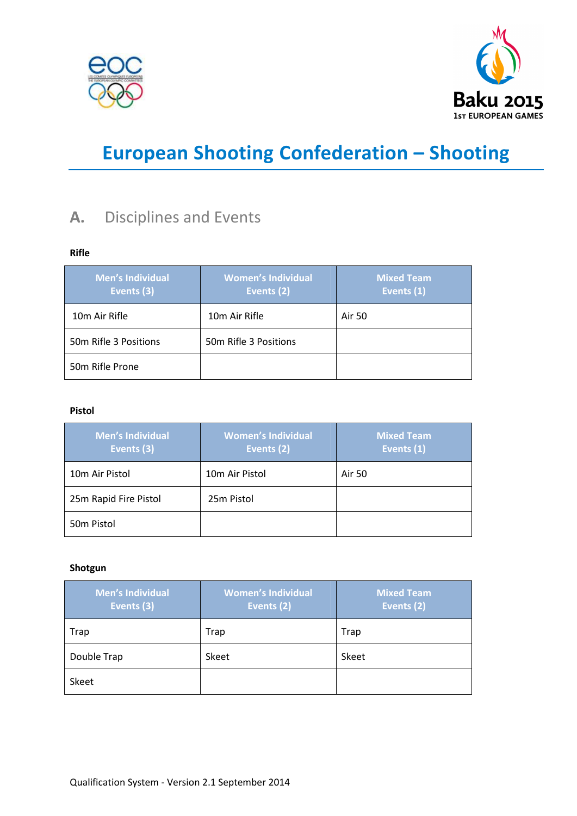



# **European Shooting Confederation – Shooting**

### **A.** Disciplines and Events

### **Rifle**

| <b>Men's Individual</b><br>Events (3) | <b>Women's Individual</b><br>Events (2) | <b>Mixed Team</b><br>Events (1) |
|---------------------------------------|-----------------------------------------|---------------------------------|
| 10m Air Rifle                         | 10m Air Rifle                           | Air 50                          |
| 50m Rifle 3 Positions                 | 50m Rifle 3 Positions                   |                                 |
| 50m Rifle Prone                       |                                         |                                 |

### **Pistol**

| <b>Men's Individual</b><br>Events (3) | <b>Women's Individual</b><br>Events (2) | <b>Mixed Team</b><br>Events (1) |
|---------------------------------------|-----------------------------------------|---------------------------------|
| 10m Air Pistol                        | 10m Air Pistol                          | Air 50                          |
| 25m Rapid Fire Pistol                 | 25m Pistol                              |                                 |
| 50 <sub>m</sub> Pistol                |                                         |                                 |

### **Shotgun**

| <b>Men's Individual</b><br>Events (3) | <b>Women's Individual</b><br>Events (2) | <b>Mixed Team</b><br>Events (2) |
|---------------------------------------|-----------------------------------------|---------------------------------|
| Trap                                  | Trap                                    | Trap                            |
| Double Trap                           | Skeet                                   | Skeet                           |
| <b>Skeet</b>                          |                                         |                                 |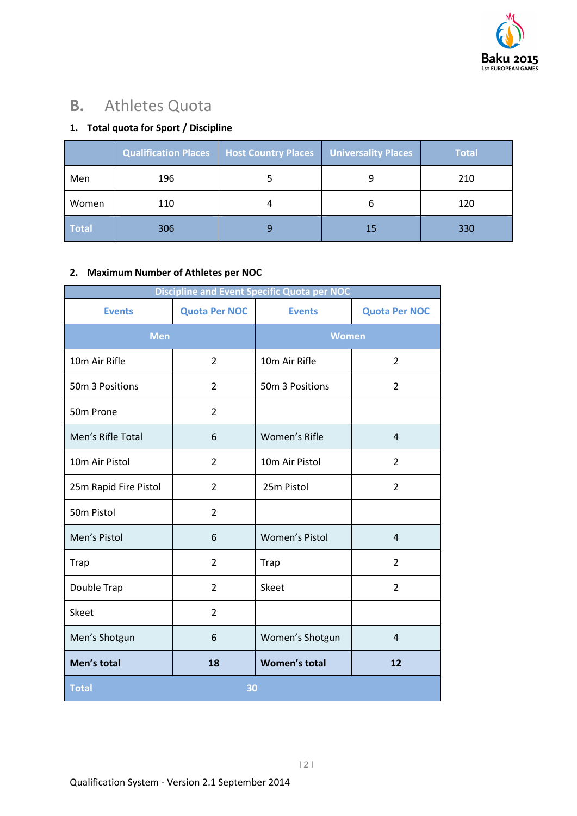

# **B.** Athletes Quota

### **1. Total quota for Sport / Discipline**

|              | <b>Qualification Places</b> | <b>Host Country Places</b> | Universality Places | <b>Total</b> |
|--------------|-----------------------------|----------------------------|---------------------|--------------|
| Men          | 196                         |                            |                     | 210          |
| Women        | 110                         |                            | b                   | 120          |
| <b>Total</b> | 306                         | 9                          | 15                  | 330          |

### **2. Maximum Number of Athletes per NOC**

| <b>Discipline and Event Specific Quota per NOC</b> |                      |                       |                      |
|----------------------------------------------------|----------------------|-----------------------|----------------------|
| <b>Events</b>                                      | <b>Quota Per NOC</b> | <b>Events</b>         | <b>Quota Per NOC</b> |
| <b>Men</b>                                         |                      | <b>Women</b>          |                      |
| 10m Air Rifle                                      | $\overline{2}$       | 10m Air Rifle         | 2                    |
| 50m 3 Positions                                    | $\overline{2}$       | 50m 3 Positions       | $\overline{2}$       |
| 50m Prone                                          | $\overline{2}$       |                       |                      |
| Men's Rifle Total                                  | 6                    | Women's Rifle         | $\overline{4}$       |
| 10m Air Pistol                                     | $\overline{2}$       | 10m Air Pistol        | $\overline{2}$       |
| 25m Rapid Fire Pistol                              | $\overline{2}$       | 25m Pistol            | $\overline{2}$       |
| 50m Pistol                                         | $\overline{2}$       |                       |                      |
| Men's Pistol                                       | 6                    | <b>Women's Pistol</b> | $\overline{4}$       |
| <b>Trap</b>                                        | $\overline{2}$       | <b>Trap</b>           | $\overline{2}$       |
| Double Trap                                        | $\overline{2}$       | Skeet                 | $\overline{2}$       |
| Skeet                                              | $\overline{2}$       |                       |                      |
| Men's Shotgun                                      | 6                    | Women's Shotgun       | $\overline{4}$       |
| Men's total                                        | 18                   | <b>Women's total</b>  | 12                   |
| <b>Total</b><br>30                                 |                      |                       |                      |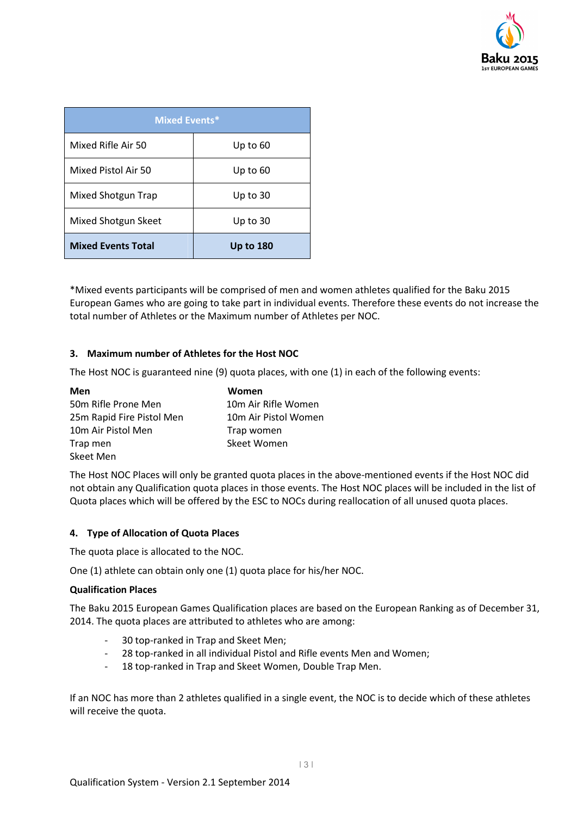

| <b>Mixed Events*</b>      |                  |  |
|---------------------------|------------------|--|
| Mixed Rifle Air 50        | Up to 60         |  |
| Mixed Pistol Air 50       | Up to 60         |  |
| Mixed Shotgun Trap        | Up to $30$       |  |
| Mixed Shotgun Skeet       | Up to $30$       |  |
| <b>Mixed Events Total</b> | <b>Up to 180</b> |  |

\*Mixed events participants will be comprised of men and women athletes qualified for the Baku 2015 European Games who are going to take part in individual events. Therefore these events do not increase the total number of Athletes or the Maximum number of Athletes per NOC.

### **3. Maximum number of Athletes for the Host NOC**

The Host NOC is guaranteed nine (9) quota places, with one (1) in each of the following events:

| Men                       | Women                |
|---------------------------|----------------------|
| 50m Rifle Prone Men       | 10m Air Rifle Women  |
| 25m Rapid Fire Pistol Men | 10m Air Pistol Women |
| 10m Air Pistol Men        | Trap women           |
| Trap men                  | Skeet Women          |
| Skeet Men                 |                      |

The Host NOC Places will only be granted quota places in the above-mentioned events if the Host NOC did not obtain any Qualification quota places in those events. The Host NOC places will be included in the list of Quota places which will be offered by the ESC to NOCs during reallocation of all unused quota places.

### **4. Type of Allocation of Quota Places**

The quota place is allocated to the NOC.

One (1) athlete can obtain only one (1) quota place for his/her NOC.

#### **Qualification Places**

The Baku 2015 European Games Qualification places are based on the European Ranking as of December 31, 2014. The quota places are attributed to athletes who are among:

- 30 top-ranked in Trap and Skeet Men;
- 28 top-ranked in all individual Pistol and Rifle events Men and Women;
- 18 top-ranked in Trap and Skeet Women, Double Trap Men.

If an NOC has more than 2 athletes qualified in a single event, the NOC is to decide which of these athletes will receive the quota.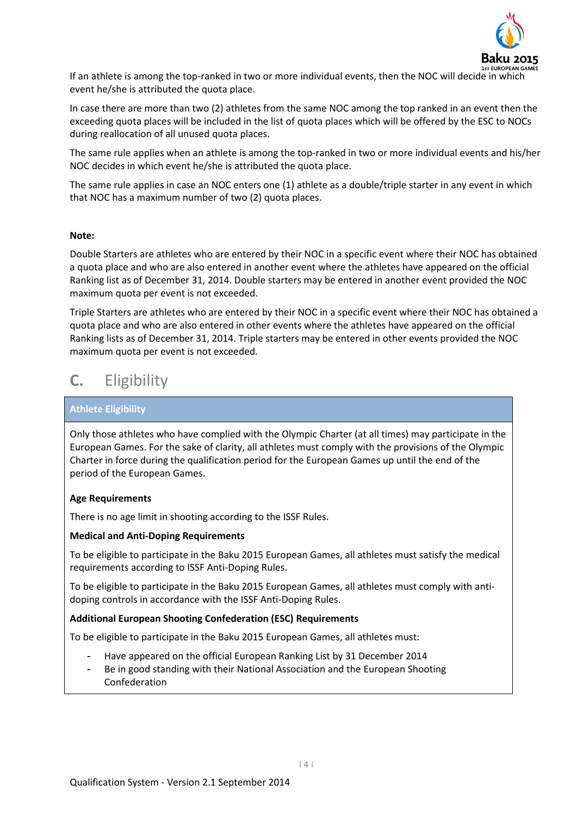

If an athlete is among the top-ranked in two or more individual events, then the NOC will decide in which event he/she is attributed the quota place.

In case there are more than two (2) athletes from the same NOC among the top ranked in an event then the exceeding quota places will be included in the list of quota places which will be offered by the ESC to NOCs during reallocation of all unused quota places.

The same rule applies when an athlete is among the top-ranked in two or more individual events and his/her NOC decides in which event he/she is attributed the quota place.

The same rule applies in case an NOC enters one (1) athlete as a double/triple starter in any event in which that NOC has a maximum number of two (2) quota places.

#### **Note:**

Double Starters are athletes who are entered by their NOC in a specific event where their NOC has obtained a quota place and who are also entered in another event where the athletes have appeared on the official Ranking list as of December 31, 2014. Double starters may be entered in another event provided the NOC maximum quota per event is not exceeded.

Triple Starters are athletes who are entered by their NOC in a specific event where their NOC has obtained a quota place and who are also entered in other events where the athletes have appeared on the official Ranking lists as of December 31, 2014. Triple starters may be entered in other events provided the NOC maximum quota per event is not exceeded.

### **C.** Eligibility

#### **Athlete Eligibility**

Only those athletes who have complied with the Olympic Charter (at all times) may participate in the European Games. For the sake of clarity, all athletes must comply with the provisions of the Olympic Charter in force during the qualification period for the European Games up until the end of the period of the European Games.

#### **Age Requirements**

There is no age limit in shooting according to the ISSF Rules.

#### **Medical and Anti-Doping Requirements**

To be eligible to participate in the Baku 2015 European Games, all athletes must satisfy the medical requirements according to ISSF Anti-Doping Rules.

To be eligible to participate in the Baku 2015 European Games, all athletes must comply with antidoping controls in accordance with the ISSF Anti-Doping Rules.

#### **Additional European Shooting Confederation (ESC) Requirements**

To be eligible to participate in the Baku 2015 European Games, all athletes must:

- Have appeared on the official European Ranking List by 31 December 2014
- Be in good standing with their National Association and the European Shooting Confederation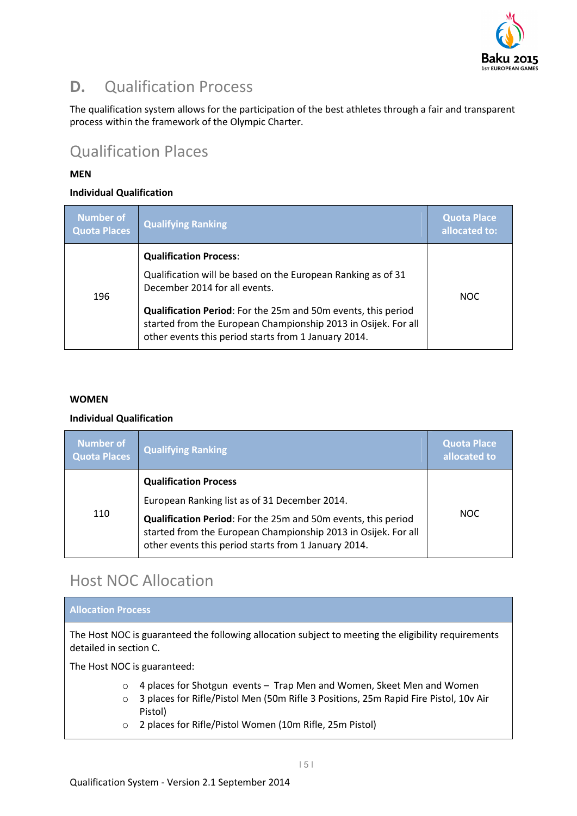

### **D.** Qualification Process

The qualification system allows for the participation of the best athletes through a fair and transparent process within the framework of the Olympic Charter.

### Qualification Places

### **MEN**

### **Individual Qualification**

| <b>Number of</b><br><b>Quota Places</b> | Qualifying Ranking                                                                                                                                                                      | <b>Quota Place</b><br>allocated to: |
|-----------------------------------------|-----------------------------------------------------------------------------------------------------------------------------------------------------------------------------------------|-------------------------------------|
|                                         | <b>Qualification Process:</b>                                                                                                                                                           |                                     |
| 196                                     | Qualification will be based on the European Ranking as of 31<br>December 2014 for all events.                                                                                           | <b>NOC</b>                          |
|                                         | Qualification Period: For the 25m and 50m events, this period<br>started from the European Championship 2013 in Osijek. For all<br>other events this period starts from 1 January 2014. |                                     |

#### **WOMEN**

#### **Individual Qualification**

| <b>Number of</b><br>Quota Places | <b>Qualifying Ranking</b>                                                                                                                                                                                                                                                | Quota Place<br>allocated to |
|----------------------------------|--------------------------------------------------------------------------------------------------------------------------------------------------------------------------------------------------------------------------------------------------------------------------|-----------------------------|
| 110                              | <b>Qualification Process</b><br>European Ranking list as of 31 December 2014.<br>Qualification Period: For the 25m and 50m events, this period<br>started from the European Championship 2013 in Osijek. For all<br>other events this period starts from 1 January 2014. | NOC.                        |

### Host NOC Allocation

#### **Allocation Process**

The Host NOC is guaranteed the following allocation subject to meeting the eligibility requirements detailed in section C.

The Host NOC is guaranteed:

- o 4 places for Shotgun events Trap Men and Women, Skeet Men and Women
- o 3 places for Rifle/Pistol Men (50m Rifle 3 Positions, 25m Rapid Fire Pistol, 10v Air Pistol)
- o 2 places for Rifle/Pistol Women (10m Rifle, 25m Pistol)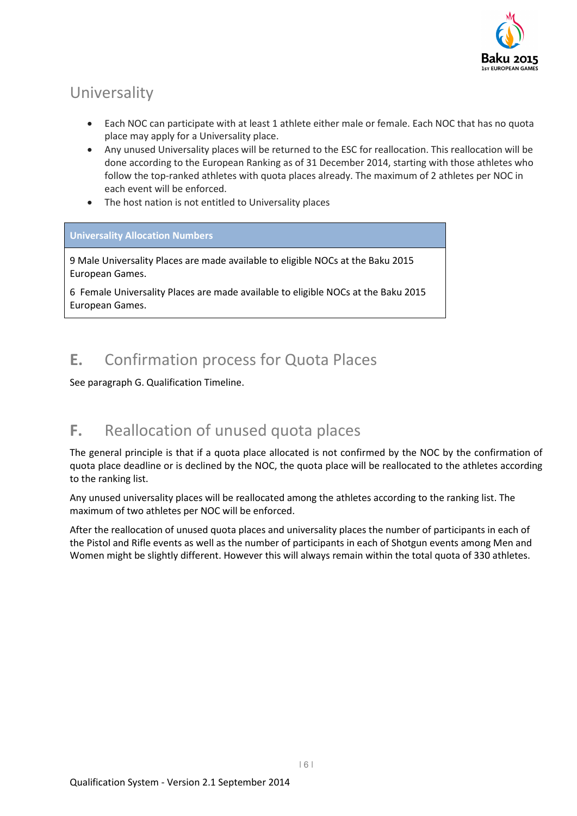

# Universality

- Each NOC can participate with at least 1 athlete either male or female. Each NOC that has no quota place may apply for a Universality place.
- Any unused Universality places will be returned to the ESC for reallocation. This reallocation will be done according to the European Ranking as of 31 December 2014, starting with those athletes who follow the top-ranked athletes with quota places already. The maximum of 2 athletes per NOC in each event will be enforced.
- The host nation is not entitled to Universality places

### **Universality Allocation Numbers**

9 Male Universality Places are made available to eligible NOCs at the Baku 2015 European Games.

6 Female Universality Places are made available to eligible NOCs at the Baku 2015 European Games.

## **E.** Confirmation process for Quota Places

See paragraph G. Qualification Timeline.

### **F.** Reallocation of unused quota places

The general principle is that if a quota place allocated is not confirmed by the NOC by the confirmation of quota place deadline or is declined by the NOC, the quota place will be reallocated to the athletes according to the ranking list.

Any unused universality places will be reallocated among the athletes according to the ranking list. The maximum of two athletes per NOC will be enforced.

After the reallocation of unused quota places and universality places the number of participants in each of the Pistol and Rifle events as well as the number of participants in each of Shotgun events among Men and Women might be slightly different. However this will always remain within the total quota of 330 athletes.